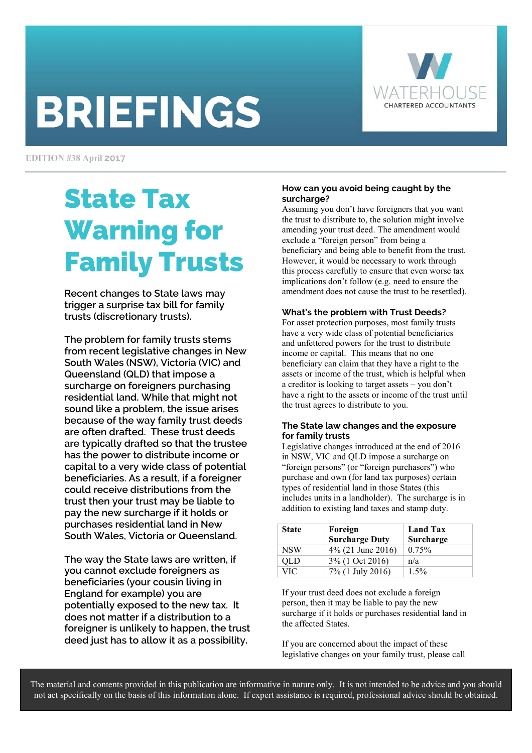# **BRIEFINGS**



EDITION #38 April 2017

# State Tax Warning for Family Trusts

**Recent changes to State laws may trigger a surprise tax bill for family trusts (discretionary trusts).** 

**The problem for family trusts stems from recent legislative changes in New South Wales (NSW), Victoria (VIC) and Queensland (QLD) that impose a surcharge on foreigners purchasing residential land. While that might not sound like a problem, the issue arises because of the way family trust deeds are often drafted. These trust deeds are typically drafted so that the trustee has the power to distribute income or capital to a very wide class of potential beneficiaries. As a result, if a foreigner could receive distributions from the trust then your trust may be liable to pay the new surcharge if it holds or purchases residential land in New South Wales, Victoria or Queensland.** 

**The way the State laws are written, if you cannot exclude foreigners as beneficiaries (your cousin living in England for example) you are potentially exposed to the new tax. It does not matter if a distribution to a foreigner is unlikely to happen, the trust deed just has to allow it as a possibility.** 

#### **How can you avoid being caught by the surcharge?**

Assuming you don't have foreigners that you want the trust to distribute to, the solution might involve amending your trust deed. The amendment would exclude a "foreign person" from being a beneficiary and being able to benefit from the trust. However, it would be necessary to work through this process carefully to ensure that even worse tax implications don't follow (e.g. need to ensure the amendment does not cause the trust to be resettled).

#### **What's the problem with Trust Deeds?**

For asset protection purposes, most family trusts have a very wide class of potential beneficiaries and unfettered powers for the trust to distribute income or capital. This means that no one beneficiary can claim that they have a right to the assets or income of the trust, which is helpful when a creditor is looking to target assets – you don't have a right to the assets or income of the trust until the trust agrees to distribute to you.

#### **The State law changes and the exposure for family trusts**

Legislative changes introduced at the end of 2016 in NSW, VIC and QLD impose a surcharge on "foreign persons" (or "foreign purchasers") who purchase and own (for land tax purposes) certain types of residential land in those States (this includes units in a landholder). The surcharge is in addition to existing land taxes and stamp duty.

| <b>State</b> | Foreign<br><b>Surcharge Duty</b> | <b>Land Tax</b><br>Surcharge |
|--------------|----------------------------------|------------------------------|
| <b>NSW</b>   | $4\%$ (21 June 2016)             | 0.75%                        |
| <b>OLD</b>   | $3\%$ (1 Oct 2016)               | n/a                          |
| <b>VIC</b>   | 7% (1 July 2016)                 | $1.5\%$                      |

If your trust deed does not exclude a foreign person, then it may be liable to pay the new surcharge if it holds or purchases residential land in the affected States.

If you are concerned about the impact of these legislative changes on your family trust, please call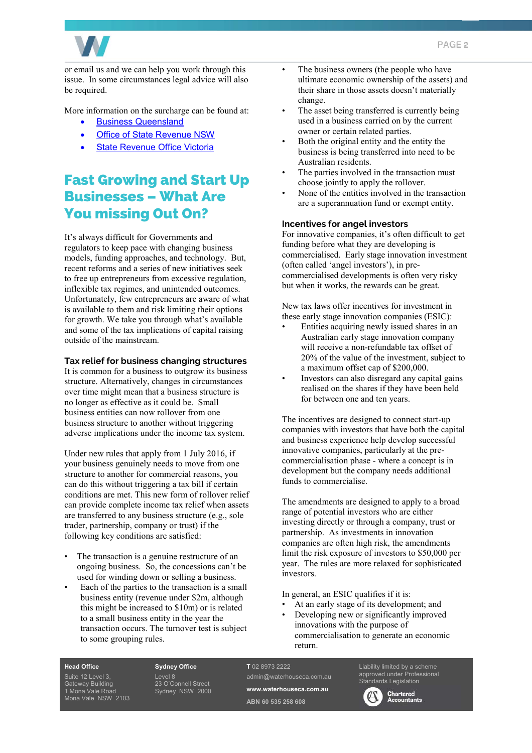

or email us and we can help you work through this issue. In some circumstances legal advice will also be required.

More information on the surcharge can be found at:

- Business Queensland
- Office of State Revenue NSW
- **State Revenue Office Victoria**

# Fast Growing and Start Up Businesses – What Are You missing Out On?

It's always difficult for Governments and regulators to keep pace with changing business models, funding approaches, and technology. But, recent reforms and a series of new initiatives seek to free up entrepreneurs from excessive regulation, inflexible tax regimes, and unintended outcomes. Unfortunately, few entrepreneurs are aware of what is available to them and risk limiting their options for growth. We take you through what's available and some of the tax implications of capital raising outside of the mainstream.

#### **Tax relief for business changing structures**

It is common for a business to outgrow its business structure. Alternatively, changes in circumstances over time might mean that a business structure is no longer as effective as it could be. Small business entities can now rollover from one business structure to another without triggering adverse implications under the income tax system.

Under new rules that apply from 1 July 2016, if your business genuinely needs to move from one structure to another for commercial reasons, you can do this without triggering a tax bill if certain conditions are met. This new form of rollover relief can provide complete income tax relief when assets are transferred to any business structure (e.g., sole trader, partnership, company or trust) if the following key conditions are satisfied:

- The transaction is a genuine restructure of an ongoing business. So, the concessions can't be used for winding down or selling a business.
- Each of the parties to the transaction is a small business entity (revenue under \$2m, although this might be increased to \$10m) or is related to a small business entity in the year the transaction occurs. The turnover test is subject to some grouping rules.
- The business owners (the people who have ultimate economic ownership of the assets) and their share in those assets doesn't materially change.
- The asset being transferred is currently being used in a business carried on by the current owner or certain related parties.
- Both the original entity and the entity the business is being transferred into need to be Australian residents.
- The parties involved in the transaction must choose jointly to apply the rollover.
- None of the entities involved in the transaction are a superannuation fund or exempt entity.

#### **Incentives for angel investors**

For innovative companies, it's often difficult to get funding before what they are developing is commercialised. Early stage innovation investment (often called 'angel investors'), in precommercialised developments is often very risky but when it works, the rewards can be great.

New tax laws offer incentives for investment in these early stage innovation companies (ESIC):

- Entities acquiring newly issued shares in an Australian early stage innovation company will receive a non-refundable tax offset of 20% of the value of the investment, subject to a maximum offset cap of \$200,000.
- Investors can also disregard any capital gains realised on the shares if they have been held for between one and ten years.

The incentives are designed to connect start-up companies with investors that have both the capital and business experience help develop successful innovative companies, particularly at the precommercialisation phase - where a concept is in development but the company needs additional funds to commercialise.

The amendments are designed to apply to a broad range of potential investors who are either investing directly or through a company, trust or partnership. As investments in innovation companies are often high risk, the amendments limit the risk exposure of investors to \$50,000 per year. The rules are more relaxed for sophisticated investors.

In general, an ESIC qualifies if it is:

At an early stage of its development; and • Developing new or significantly improved innovations with the purpose of commercialisation to generate an economic return.

#### **Head Office**

Suite 12 Level 3, Gateway Building 1 Mona Vale Road Mona Vale NSW 2103 **Sydney Office**  Level 8 23 O'Connell Street Sydney NSW 2000

#### **T** 02 8973 2222 admin@waterhouseca.com.au

**www.waterhouseca.com.au ABN 60 535 258 608** 

Liability limited by a scheme approved under Professional dards Legislation

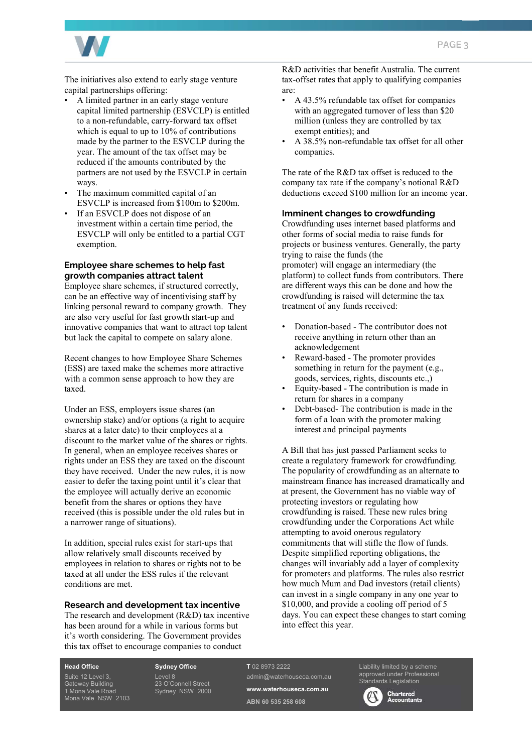

The initiatives also extend to early stage venture capital partnerships offering:

- A limited partner in an early stage venture capital limited partnership (ESVCLP) is entitled to a non-refundable, carry-forward tax offset which is equal to up to 10% of contributions made by the partner to the ESVCLP during the year. The amount of the tax offset may be reduced if the amounts contributed by the partners are not used by the ESVCLP in certain ways.
- The maximum committed capital of an ESVCLP is increased from \$100m to \$200m.
- If an ESVCLP does not dispose of an investment within a certain time period, the ESVCLP will only be entitled to a partial CGT exemption.

#### **Employee share schemes to help fast growth companies attract talent**

Employee share schemes, if structured correctly, can be an effective way of incentivising staff by linking personal reward to company growth. They are also very useful for fast growth start-up and innovative companies that want to attract top talent but lack the capital to compete on salary alone.

Recent changes to how Employee Share Schemes (ESS) are taxed make the schemes more attractive with a common sense approach to how they are taxed.

Under an ESS, employers issue shares (an ownership stake) and/or options (a right to acquire shares at a later date) to their employees at a discount to the market value of the shares or rights. In general, when an employee receives shares or rights under an ESS they are taxed on the discount they have received. Under the new rules, it is now easier to defer the taxing point until it's clear that the employee will actually derive an economic benefit from the shares or options they have received (this is possible under the old rules but in a narrower range of situations).

In addition, special rules exist for start-ups that allow relatively small discounts received by employees in relation to shares or rights not to be taxed at all under the ESS rules if the relevant conditions are met.

#### **Research and development tax incentive**

The research and development (R&D) tax incentive has been around for a while in various forms but it's worth considering. The Government provides this tax offset to encourage companies to conduct

R&D activities that benefit Australia. The current tax-offset rates that apply to qualifying companies are:

- A 43.5% refundable tax offset for companies with an aggregated turnover of less than \$20 million (unless they are controlled by tax exempt entities); and
- A 38.5% non-refundable tax offset for all other companies.

The rate of the R&D tax offset is reduced to the company tax rate if the company's notional R&D deductions exceed \$100 million for an income year.

#### **Imminent changes to crowdfunding**

Crowdfunding uses internet based platforms and other forms of social media to raise funds for projects or business ventures. Generally, the party trying to raise the funds (the promoter) will engage an intermediary (the platform) to collect funds from contributors. There are different ways this can be done and how the crowdfunding is raised will determine the tax treatment of any funds received:

- Donation-based The contributor does not receive anything in return other than an acknowledgement
- Reward-based The promoter provides something in return for the payment (e.g., goods, services, rights, discounts etc.,)
- Equity-based The contribution is made in return for shares in a company
- Debt-based- The contribution is made in the form of a loan with the promoter making interest and principal payments

A Bill that has just passed Parliament seeks to create a regulatory framework for crowdfunding. The popularity of crowdfunding as an alternate to mainstream finance has increased dramatically and at present, the Government has no viable way of protecting investors or regulating how crowdfunding is raised. These new rules bring crowdfunding under the Corporations Act while attempting to avoid onerous regulatory commitments that will stifle the flow of funds. Despite simplified reporting obligations, the changes will invariably add a layer of complexity for promoters and platforms. The rules also restrict how much Mum and Dad investors (retail clients) can invest in a single company in any one year to \$10,000, and provide a cooling off period of 5 days. You can expect these changes to start coming into effect this year.

**Head Office**  Suite 12 Level 3,

Gateway Building 1 Mona Vale Road Mona Vale NSW 2103 **Sydney Office**  Level 8 23 O'Connell Street Sydney NSW 2000

#### **T** 02 8973 2222

admin@waterhouseca.com.au **www.waterhouseca.com.au ABN 60 535 258 608** 

Liability limited by a scheme pproved under Professional ards Legislation

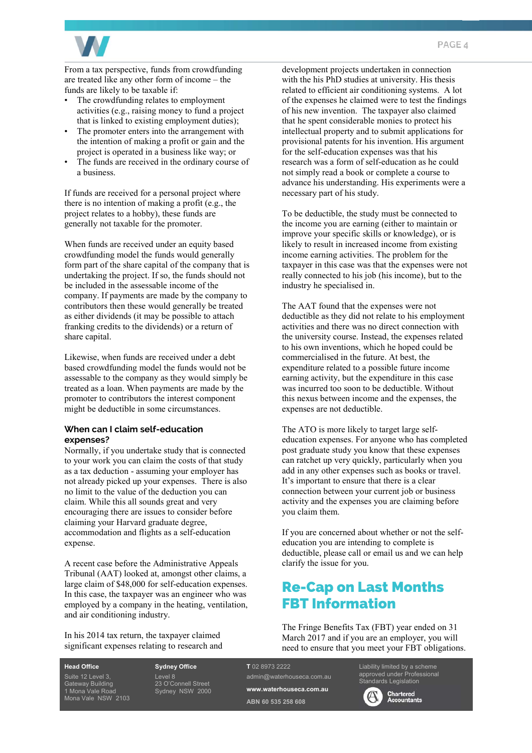

From a tax perspective, funds from crowdfunding are treated like any other form of income – the funds are likely to be taxable if:

- The crowdfunding relates to employment activities (e.g., raising money to fund a project that is linked to existing employment duties);
- The promoter enters into the arrangement with the intention of making a profit or gain and the project is operated in a business like way; or
- The funds are received in the ordinary course of a business.

If funds are received for a personal project where there is no intention of making a profit (e.g., the project relates to a hobby), these funds are generally not taxable for the promoter.

When funds are received under an equity based crowdfunding model the funds would generally form part of the share capital of the company that is undertaking the project. If so, the funds should not be included in the assessable income of the company. If payments are made by the company to contributors then these would generally be treated as either dividends (it may be possible to attach franking credits to the dividends) or a return of share capital.

Likewise, when funds are received under a debt based crowdfunding model the funds would not be assessable to the company as they would simply be treated as a loan. When payments are made by the promoter to contributors the interest component might be deductible in some circumstances.

#### **When can I claim self-education expenses?**

Normally, if you undertake study that is connected to your work you can claim the costs of that study as a tax deduction - assuming your employer has not already picked up your expenses. There is also no limit to the value of the deduction you can claim. While this all sounds great and very encouraging there are issues to consider before claiming your Harvard graduate degree, accommodation and flights as a self-education expense.

A recent case before the Administrative Appeals Tribunal (AAT) looked at, amongst other claims, a large claim of \$48,000 for self-education expenses. In this case, the taxpayer was an engineer who was employed by a company in the heating, ventilation, and air conditioning industry.

In his 2014 tax return, the taxpayer claimed significant expenses relating to research and development projects undertaken in connection with the his PhD studies at university. His thesis related to efficient air conditioning systems. A lot of the expenses he claimed were to test the findings of his new invention. The taxpayer also claimed that he spent considerable monies to protect his intellectual property and to submit applications for provisional patents for his invention. His argument for the self-education expenses was that his research was a form of self-education as he could not simply read a book or complete a course to advance his understanding. His experiments were a necessary part of his study.

To be deductible, the study must be connected to the income you are earning (either to maintain or improve your specific skills or knowledge), or is likely to result in increased income from existing income earning activities. The problem for the taxpayer in this case was that the expenses were not really connected to his job (his income), but to the industry he specialised in.

The AAT found that the expenses were not deductible as they did not relate to his employment activities and there was no direct connection with the university course. Instead, the expenses related to his own inventions, which he hoped could be commercialised in the future. At best, the expenditure related to a possible future income earning activity, but the expenditure in this case was incurred too soon to be deductible. Without this nexus between income and the expenses, the expenses are not deductible.

The ATO is more likely to target large selfeducation expenses. For anyone who has completed post graduate study you know that these expenses can ratchet up very quickly, particularly when you add in any other expenses such as books or travel. It's important to ensure that there is a clear connection between your current job or business activity and the expenses you are claiming before you claim them.

If you are concerned about whether or not the selfeducation you are intending to complete is deductible, please call or email us and we can help clarify the issue for you.

# Re-Cap on Last Months FBT Information

The Fringe Benefits Tax (FBT) year ended on 31 March 2017 and if you are an employer, you will need to ensure that you meet your FBT obligations.

**Head Office**  Suite 12 Level 3, Gateway Building 1 Mona Vale Road Mona Vale NSW 2103 **Sydney Office**  Level 8 23 O'Connell Street Sydney NSW 2000

#### **T** 02 8973 2222 admin@waterhouseca.com.au

**www.waterhouseca.com.au** 

**ABN 60 535 258 608** 

Liability limited by a scheme approved under Professional dards Legislation